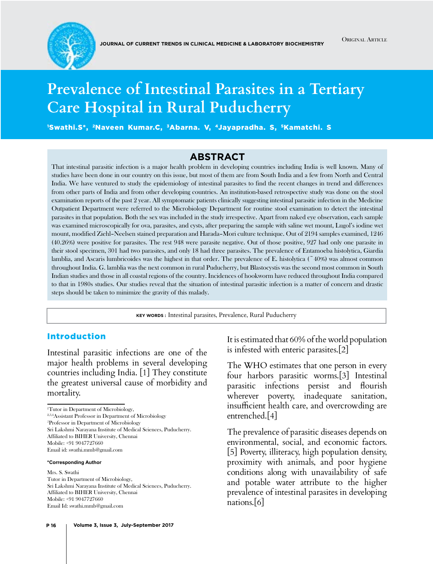

ORIGINAL ARTICLE

# **Prevalence of Intestinal Parasites in a Tertiary Care Hospital in Rural Puducherry**

'Swathi.S\*, <sup>2</sup>Naveen Kumar.C, <sup>3</sup>Abarna. V, <sup>4</sup>Jayapradha. S, <sup>s</sup>Kamatchi. S

### **Abstract**

That intestinal parasitic infection is a major health problem in developing countries including India is well known. Many of studies have been done in our country on this issue, but most of them are from South India and a few from North and Central India. We have ventured to study the epidemiology of intestinal parasites to find the recent changes in trend and differences from other parts of India and from other developing countries. An institution-based retrospective study was done on the stool examination reports of the past 2 year. All symptomatic patients clinically suggesting intestinal parasitic infection in the Medicine Outpatient Department were referred to the Microbiology Department for routine stool examination to detect the intestinal parasites in that population. Both the sex was included in the study irrespective. Apart from naked eye observation, each sample was examined microscopically for ova, parasites, and cysts, after preparing the sample with saline wet mount, Lugol's iodine wet mount, modified Ziehl–Neelsen stained preparation and Harada–Mori culture technique. Out of 2194 samples examined, 1246 (40.26%) were positive for parasites. The rest 948 were parasite negative. Out of those positive, 927 had only one parasite in their stool specimen, 301 had two parasites, and only 18 had three parasites. The prevalence of Entamoeba histolytica, Giardia lamblia, and Ascaris lumbricoides was the highest in that order. The prevalence of E. histolytica ( $\degree$ 40%) was almost common throughout India. G. lamblia was the next common in rural Puducherry, but Blastocystis was the second most common in South Indian studies and those in all coastal regions of the country. Incidences of hookworm have reduced throughout India compared to that in 1980s studies. Our studies reveal that the situation of intestinal parasitic infection is a matter of concern and drastic steps should be taken to minimize the gravity of this malady.

**Key words :** Intestinal parasites, Prevalence, Rural Puducherry

#### Introduction

Intestinal parasitic infections are one of the major health problems in several developing countries including India. [1] They constitute the greatest universal cause of morbidity and mortality.

1 Tutor in Department of Microbiology,

2,3,4Assistant Professor in Department of Microbiology

5 Professor in Department of Microbiology

Sri Lakshmi Narayana Institute of Medical Sciences, Puducherry. Affiliated to BIHER University, Chennai

Mobile: +91 9047727660

Email id: [swathi.mmb@gmail.com](mailto:swathi.mmb@gmail.com)

#### **\*Corresponding Author**

#### Mrs. S. Swathi

Tutor in Department of Microbiology, Sri Lakshmi Narayana Institute of Medical Sciences, Puducherry. Affiliated to BIHER University, Chennai Mobile: +91 9047727660 Email Id: [swathi.mmb@gmail.com](mailto:swathi.mmb@gmail.com)

It is estimated that 60% of the world population is infested with enteric parasites.[2]

The WHO estimates that one person in every four harbors parasitic worms.[3] Intestinal parasitic infections persist and flourish wherever poverty, inadequate sanitation, insufficient health care, and overcrowding are entrenched.[4]

The prevalence of parasitic diseases depends on environmental, social, and economic factors. [5] Poverty, illiteracy, high population density, proximity with animals, and poor hygiene conditions along with unavailability of safe and potable water attribute to the higher prevalence of intestinal parasites in developing nations.[6]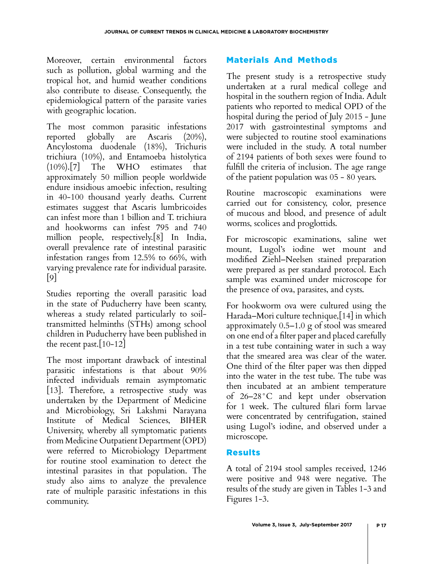Moreover, certain environmental factors such as pollution, global warming and the tropical hot, and humid weather conditions also contribute to disease. Consequently, the epidemiological pattern of the parasite varies with geographic location.

The most common parasitic infestations reported globally are Ascaris (20%), Ancylostoma duodenale (18%), Trichuris trichiura (10%), and Entamoeba histolytica (10%).[7] The WHO estimates that approximately 50 million people worldwide endure insidious amoebic infection, resulting in 40-100 thousand yearly deaths. Current estimates suggest that Ascaris lumbricoides can infest more than 1 billion and T. trichiura and hookworms can infest 795 and 740 million people, respectively.[8] In India, overall prevalence rate of intestinal parasitic infestation ranges from 12.5% to 66%, with varying prevalence rate for individual parasite. [9]

Studies reporting the overall parasitic load in the state of Puducherry have been scanty, whereas a study related particularly to soiltransmitted helminths (STHs) among school children in Puducherry have been published in the recent past.[10-12]

The most important drawback of intestinal parasitic infestations is that about 90% infected individuals remain asymptomatic [13]. Therefore, a retrospective study was undertaken by the Department of Medicine and Microbiology, Sri Lakshmi Narayana Institute of Medical Sciences, BIHER University, whereby all symptomatic patients from Medicine Outpatient Department (OPD) were referred to Microbiology Department for routine stool examination to detect the intestinal parasites in that population. The study also aims to analyze the prevalence rate of multiple parasitic infestations in this community.

# Materials And Methods

The present study is a retrospective study undertaken at a rural medical college and hospital in the southern region of India. Adult patients who reported to medical OPD of the hospital during the period of July 2015 - June 2017 with gastrointestinal symptoms and were subjected to routine stool examinations were included in the study. A total number of 2194 patients of both sexes were found to fulfill the criteria of inclusion. The age range of the patient population was 05 - 80 years.

Routine macroscopic examinations were carried out for consistency, color, presence of mucous and blood, and presence of adult worms, scolices and proglottids.

For microscopic examinations, saline wet mount, Lugol's iodine wet mount and modified Ziehl–Neelsen stained preparation were prepared as per standard protocol. Each sample was examined under microscope for the presence of ova, parasites, and cysts.

For hookworm ova were cultured using the Harada–Mori culture technique,[14] in which approximately 0.5–1.0 g of stool was smeared on one end of a filter paper and placed carefully in a test tube containing water in such a way that the smeared area was clear of the water. One third of the filter paper was then dipped into the water in the test tube. The tube was then incubated at an ambient temperature of 26–28°C and kept under observation for 1 week. The cultured filari form larvae were concentrated by centrifugation, stained using Lugol's iodine, and observed under a microscope.

## Results

A total of 2194 stool samples received, 1246 were positive and 948 were negative. The results of the study are given in Tables 1-3 and Figures 1-3.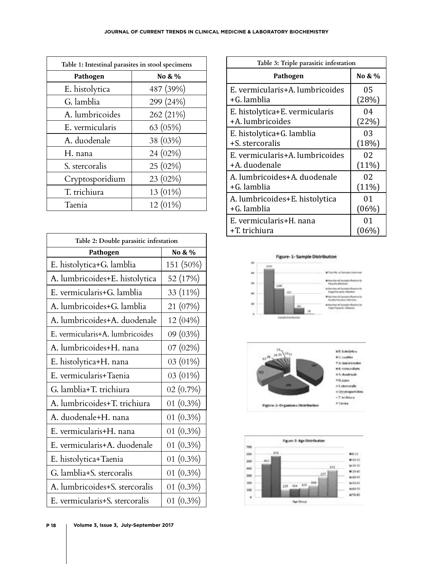| Table 1: Intestinal parasites in stool specimens |            |  |
|--------------------------------------------------|------------|--|
| Pathogen                                         | No & %     |  |
| E. histolytica                                   | 487 (39%)  |  |
| G. lamblia                                       | 299 (24%)  |  |
| A. lumbricoides                                  | 262 (21%)  |  |
| E. vermicularis                                  | 63 (05%)   |  |
| A. duodenale                                     | 38 (03%)   |  |
| H. nana                                          | 24 (02%)   |  |
| S. stercoralis                                   | 25 (02%)   |  |
| Cryptosporidium                                  | 23 (02%)   |  |
| T. trichiura                                     | 13 (01%)   |  |
| Taenia                                           | $12(01\%)$ |  |

| Table 2: Double parasitic infestation |              |  |
|---------------------------------------|--------------|--|
| Pathogen                              | No & %       |  |
| E. histolytica+G. lamblia             | 151 (50%)    |  |
| A. lumbricoides+E. histolytica        | 52 (17%)     |  |
| E. vermicularis+G. lamblia            | 33 (11%)     |  |
| A. lumbricoides+G. lamblia            | 21 (07%)     |  |
| A. lumbricoides+A. duodenale          | 12 (04%)     |  |
| E. vermicularis+A. lumbricoides       | 09(03%)      |  |
| A. lumbricoides+H. nana               | 07(02%)      |  |
| E. histolytica+H. nana                | $03(01\%)$   |  |
| E. vermicularis+Taenia                | 03 (01%)     |  |
| G. lamblia+T. trichiura               | 02 (0.7%)    |  |
| A. lumbricoides+T. trichiura          | 01 $(0.3\%)$ |  |
| A. duodenale+H. nana                  | 01 $(0.3\%)$ |  |
| E. vermicularis+H. nana               | 01 $(0.3\%)$ |  |
| E. vermicularis+A. duodenale          | 01 $(0.3\%)$ |  |
| E. histolytica+Taenia                 | 01 $(0.3\%)$ |  |
| G. lamblia+S. stercoralis             | 01 $(0.3\%)$ |  |
| A. lumbricoides+S. stercoralis        | $01(0.3\%)$  |  |
| E. vermicularis+S. stercoralis        | 01 $(0.3\%)$ |  |

| Table 3: Triple parasitic infestation |          |  |
|---------------------------------------|----------|--|
| Pathogen                              | No & %   |  |
| E. vermicularis+A. lumbricoides       | 05       |  |
| +G. lamblia                           | (28%)    |  |
| E. histolytica+E. vermicularis        | 04       |  |
| +A. lumbricoides                      | (22%)    |  |
| E. histolytica+G. lamblia             | 03       |  |
| +S. stercoralis                       | (18%)    |  |
| E. vermicularis+A. lumbricoides       | 02       |  |
| +A. duodenale                         | $(11\%)$ |  |
| A. lumbricoides+A. duodenale          | 02       |  |
| $+G.$ lamblia                         | $(11\%)$ |  |
| A. lumbricoides+E. histolytica        | 01       |  |
| +G. lamblia                           | $(06\%)$ |  |
| E. vermicularis+H. nana               | 01       |  |
| +T. trichiura                         | $(06\%)$ |  |





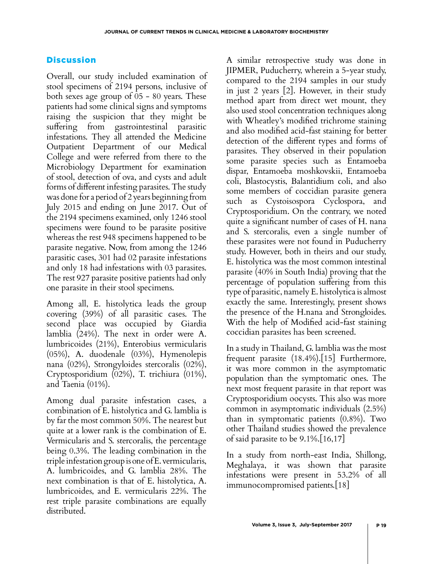# **Discussion**

Overall, our study included examination of stool specimens of 2194 persons, inclusive of both sexes age group of 05 - 80 years. These patients had some clinical signs and symptoms raising the suspicion that they might be suffering from gastrointestinal parasitic infestations. They all attended the Medicine Outpatient Department of our Medical College and were referred from there to the Microbiology Department for examination of stool, detection of ova, and cysts and adult forms of different infesting parasites. The study was done for a period of 2 years beginning from July 2015 and ending on June 2017. Out of the 2194 specimens examined, only 1246 stool specimens were found to be parasite positive whereas the rest 948 specimens happened to be parasite negative. Now, from among the 1246 parasitic cases, 301 had 02 parasite infestations and only 18 had infestations with 03 parasites. The rest 927 parasite positive patients had only one parasite in their stool specimens.

Among all, E. histolytica leads the group covering (39%) of all parasitic cases. The second place was occupied by Giardia lamblia (24%). The next in order were A. lumbricoides (21%), Enterobius vermicularis (05%), A. duodenale (03%), Hymenolepis nana (02%), Strongyloides stercoralis (02%), Cryptosporidium (02%), T. trichiura (01%), and Taenia (01%).

Among dual parasite infestation cases, a combination of E. histolytica and G. lamblia is by far the most common 50%. The nearest but quite at a lower rank is the combination of E. Vermicularis and S. stercoralis, the percentage being 0.3%. The leading combination in the triple infestation group is one of E. vermicularis, A. lumbricoides, and G. lamblia 28%. The next combination is that of E. histolytica, A. lumbricoides, and E. vermicularis 22%. The rest triple parasite combinations are equally distributed.

A similar retrospective study was done in JIPMER, Puducherry, wherein a 5-year study, compared to the 2194 samples in our study in just 2 years [2]. However, in their study method apart from direct wet mount, they also used stool concentration techniques along with Wheatley's modified trichrome staining and also modified acid-fast staining for better detection of the different types and forms of parasites. They observed in their population some parasite species such as Entamoeba dispar, Entamoeba moshkovskii, Entamoeba coli, Blastocystis, Balantidium coli, and also some members of coccidian parasite genera such as Cystoisospora Cyclospora, and Cryptosporidium. On the contrary, we noted quite a significant number of cases of H. nana and S. stercoralis, even a single number of these parasites were not found in Puducherry study. However, both in theirs and our study, E. histolytica was the most common intestinal parasite (40% in South India) proving that the percentage of population suffering from this type of parasitic, namely E. histolytica is almost exactly the same. Interestingly, present shows the presence of the H.nana and Strongloides. With the help of Modified acid-fast staining coccidian parasites has been screened.

In a study in Thailand, G. lamblia was the most frequent parasite (18.4%).[15] Furthermore, it was more common in the asymptomatic population than the symptomatic ones. The next most frequent parasite in that report was Cryptosporidium oocysts. This also was more common in asymptomatic individuals (2.5%) than in symptomatic patients (0.8%). Two other Thailand studies showed the prevalence of said parasite to be 9.1%.[16,17]

In a study from north-east India, Shillong, Meghalaya, it was shown that parasite infestations were present in 53.2% of all immunocompromised patients.[18]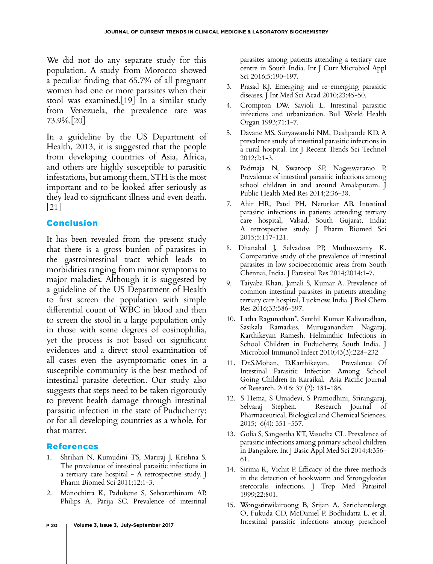We did not do any separate study for this population. A study from Morocco showed a peculiar finding that 65.7% of all pregnant women had one or more parasites when their stool was examined.[19] In a similar study from Venezuela, the prevalence rate was 73.9%.[20]

In a guideline by the US Department of Health, 2013, it is suggested that the people from developing countries of Asia, Africa, and others are highly susceptible to parasitic infestations, but among them, STH is the most important and to be looked after seriously as they lead to significant illness and even death. [21]

# Conclusion

It has been revealed from the present study that there is a gross burden of parasites in the gastrointestinal tract which leads to morbidities ranging from minor symptoms to major maladies. Although it is suggested by a guideline of the US Department of Health to first screen the population with simple differential count of WBC in blood and then to screen the stool in a large population only in those with some degrees of eosinophilia, yet the process is not based on significant evidences and a direct stool examination of all cases even the asymptomatic ones in a susceptible community is the best method of intestinal parasite detection. Our study also suggests that steps need to be taken rigorously to prevent health damage through intestinal parasitic infection in the state of Puducherry; or for all developing countries as a whole, for that matter.

## References

- 1. Shrihari N, Kumudini TS, Mariraj J, Krishna S. The prevalence of intestinal parasitic infections in a tertiary care hospital - A retrospective study. J Pharm Biomed Sci 2011;12:1-3.
- 2. Manochitra K, Padukone S, Selvaratthinam AP, Philips A, Parija SC. Prevalence of intestinal
- 3. Prasad KJ. Emerging and re-emerging parasitic diseases. J Int Med Sci Acad 2010;23:45-50.
- 4. Crompton DW, Savioli L. Intestinal parasitic infections and urbanization. Bull World Health Organ 1993;71:1-7.
- 5. Davane MS, Suryawanshi NM, Deshpande KD. A prevalence study of intestinal parasitic infections in a rural hospital. Int J Recent Trends Sci Technol 2012;2:1-3.
- 6. Padmaja N, Swaroop SP, Nageswararao P. Prevalence of intestinal parasitic infections among school children in and around Amalapuram. J Public Health Med Res 2014;2:36-38.
- 7. Ahir HR, Patel PH, Nerurkar AB. Intestinal parasitic infections in patients attending tertiary care hospital, Valsad, South Gujarat, India: A retrospective study. J Pharm Biomed Sci 2015;5:117-121.
- 8. Dhanabal J, Selvadoss PP, Muthuswamy K. Comparative study of the prevalence of intestinal parasites in low socioeconomic areas from South Chennai, India. J Parasitol Res 2014;2014:1-7.
- 9. Taiyaba Khan, Jamali S, Kumar A. Prevalence of common intestinal parasites in patients attending tertiary care hospital, Lucknow, India. J Biol Chem Res 2016;33:586-597.
- 10. Latha Ragunathan\*, Senthil Kumar Kalivaradhan, Sasikala Ramadass, Muruganandam Nagaraj, Karthikeyan Ramesh. Helminthic Infections in School Children in Puducherry, South India. J Microbiol Immunol Infect 2010;43(3):228–232
- 11. Dr.S.Mohan, D.Karthikeyan. Prevalence Of Intestinal Parasitic Infection Among School Going Children In Karaikal. Asia Pacific Journal of Research. 2016: 37 (2): 181-186.
- 12. S Hema, S Umadevi, S Pramodhini, Srirangaraj, Selvaraj Stephen. Research Journal of Pharmaceutical, Biological and Chemical Sciences. 2015; 6(4): 551 -557.
- 13. Golia S, Sangeetha KT, Vasudha CL. Prevalence of parasitic infections among primary school children in Bangalore. Int J Basic Appl Med Sci 2014;4:356- 61.
- 14. Sirima K, Vichit P. Efficacy of the three methods in the detection of hookworm and Strongyloides stercoralis infections. J Trop Med Parasitol 1999;22:801.
- 15. Wongstitwilairoong B, Srijan A, Serichantalergs O, Fukuda CD, McDaniel P, Bodhidatta L, et al. Intestinal parasitic infections among preschool